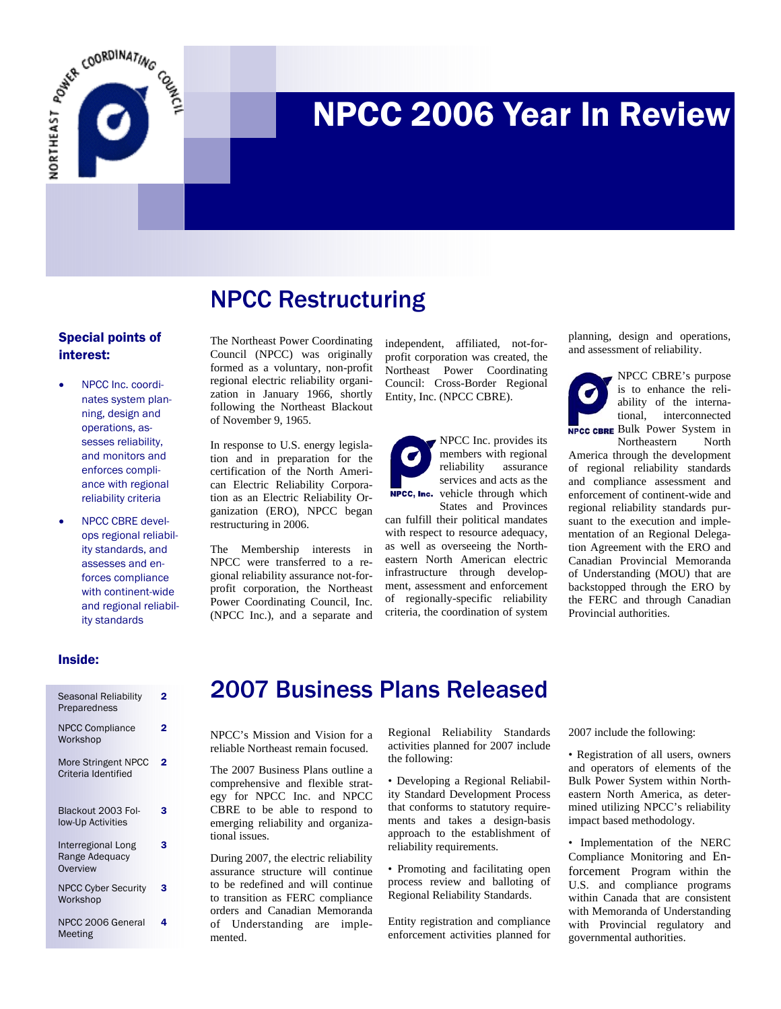

# NPCC 2006 Year In Review

## NPCC Restructuring

#### Special points of interest:

- NPCC Inc. coordinates system planning, design and operations, assesses reliability, and monitors and enforces compliance with regional reliability criteria
- NPCC CBRE develops regional reliability standards, and assesses and enforces compliance with continent-wide and regional reliability standards

The Northeast Power Coordinating Council (NPCC) was originally formed as a voluntary, non-profit regional electric reliability organization in January 1966, shortly following the Northeast Blackout of November 9, 1965.

In response to U.S. energy legislation and in preparation for the certification of the North American Electric Reliability Corporation as an Electric Reliability Organization (ERO), NPCC began restructuring in 2006.

The Membership interests in NPCC were transferred to a regional reliability assurance not-forprofit corporation, the Northeast Power Coordinating Council, Inc. (NPCC Inc.), and a separate and

independent, affiliated, not-forprofit corporation was created, the Northeast Power Coordinating Council: Cross-Border Regional Entity, Inc. (NPCC CBRE).



can fulfill their political mandates with respect to resource adequacy, as well as overseeing the Northeastern North American electric infrastructure through development, assessment and enforcement of regionally-specific reliability criteria, the coordination of system planning, design and operations, and assessment of reliability.



NPCC CBRE's purpose is to enhance the reliability of the international, interconnected **NPCC CBRE** Bulk Power System in Northeastern North

America through the development of regional reliability standards and compliance assessment and enforcement of continent-wide and regional reliability standards pursuant to the execution and implementation of an Regional Delegation Agreement with the ERO and Canadian Provincial Memoranda of Understanding (MOU) that are backstopped through the ERO by the FERC and through Canadian Provincial authorities.

#### Inside:

| Seasonal Reliability<br>Preparedness             | 2 |
|--------------------------------------------------|---|
| <b>NPCC Compliance</b><br>Workshop               | 2 |
| More Stringent NPCC<br>Criteria Identified       | 2 |
| Blackout 2003 Fol-<br>low-Up Activities          | 3 |
| Interregional Long<br>Range Adequacy<br>Overview | з |
| <b>NPCC Cyber Security</b><br>Workshop           | з |
| NPCC 2006 General<br>Meeting                     |   |

#### 2007 Business Plans Released

NPCC's Mission and Vision for a reliable Northeast remain focused.

The 2007 Business Plans outline a comprehensive and flexible strategy for NPCC Inc. and NPCC CBRE to be able to respond to emerging reliability and organizational issues.

During 2007, the electric reliability assurance structure will continue to be redefined and will continue to transition as FERC compliance orders and Canadian Memoranda of Understanding are implemented.

Regional Reliability Standards activities planned for 2007 include the following:

• Developing a Regional Reliability Standard Development Process that conforms to statutory requirements and takes a design-basis approach to the establishment of reliability requirements.

• Promoting and facilitating open process review and balloting of Regional Reliability Standards.

Entity registration and compliance enforcement activities planned for 2007 include the following:

• Registration of all users, owners and operators of elements of the Bulk Power System within Northeastern North America, as determined utilizing NPCC's reliability impact based methodology.

• Implementation of the NERC Compliance Monitoring and Enforcement Program within the U.S. and compliance programs within Canada that are consistent with Memoranda of Understanding with Provincial regulatory and governmental authorities.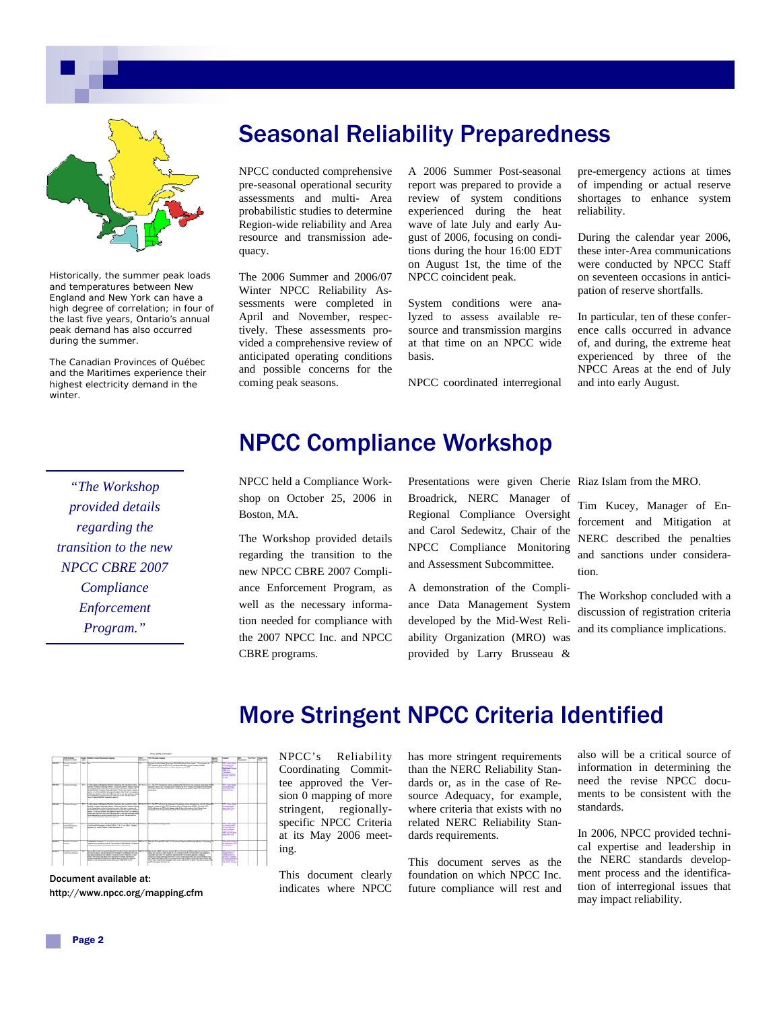

Historically, the summer peak loads and temperatures between New England and New York can have a high degree of correlation; in four of the last five years, Ontario's annual peak demand has also occurred during the summer.

The Canadian Provinces of Québec and the Maritimes experience their highest electricity demand in the winter.

#### Seasonal Reliability Preparedness

NPCC conducted comprehensive pre-seasonal operational security assessments and multi- Area probabilistic studies to determine Region-wide reliability and Area resource and transmission adequacy.

The 2006 Summer and 2006/07 Winter NPCC Reliability Assessments were completed in April and November, respectively. These assessments provided a comprehensive review of anticipated operating conditions and possible concerns for the coming peak seasons.

A 2006 Summer Post-seasonal report was prepared to provide a review of system conditions experienced during the heat wave of late July and early August of 2006, focusing on conditions during the hour 16:00 EDT on August 1st, the time of the NPCC coincident peak.

System conditions were analyzed to assess available resource and transmission margins at that time on an NPCC wide basis.

NPCC coordinated interregional

pre-emergency actions at times of impending or actual reserve shortages to enhance system reliability.

During the calendar year 2006, these inter-Area communications were conducted by NPCC Staff on seventeen occasions in anticipation of reserve shortfalls.

In particular, ten of these conference calls occurred in advance of, and during, the extreme heat experienced by three of the NPCC Areas at the end of July and into early August.

#### *"The Workshop provided details regarding the transition to the new NPCC CBRE 2007 Compliance Enforcement Program."*

## NPCC Compliance Workshop

NPCC held a Compliance Workshop on October 25, 2006 in Boston, MA.

The Workshop provided details regarding the transition to the new NPCC CBRE 2007 Compliance Enforcement Program, as well as the necessary information needed for compliance with the 2007 NPCC Inc. and NPCC CBRE programs.

Presentations were given Cherie Riaz Islam from the MRO. Broadrick, NERC Manager of Regional Compliance Oversight and Carol Sedewitz, Chair of the NPCC Compliance Monitoring and Assessment Subcommittee.

A demonstration of the Compliance Data Management System developed by the Mid-West Reliability Organization (MRO) was provided by Larry Brusseau &

Tim Kucey, Manager of Enforcement and Mitigation at NERC described the penalties and sanctions under consideration.

The Workshop concluded with a discussion of registration criteria and its compliance implications.

Document available at: http://www.npcc.org/mapping.cfm

#### More Stringent NPCC Criteria Identified

NPCC's Reliability Coordinating Committee approved the Version 0 mapping of more stringent, regionallyspecific NPCC Criteria at its May 2006 meeting.

This document clearly indicates where NPCC has more stringent requirements than the NERC Reliability Standards or, as in the case of Resource Adequacy, for example, where criteria that exists with no related NERC Reliability Standards requirements.

This document serves as the foundation on which NPCC Inc. future compliance will rest and also will be a critical source of information in determining the need the revise NPCC documents to be consistent with the standards.

In 2006, NPCC provided technical expertise and leadership in the NERC standards development process and the identification of interregional issues that may impact reliability.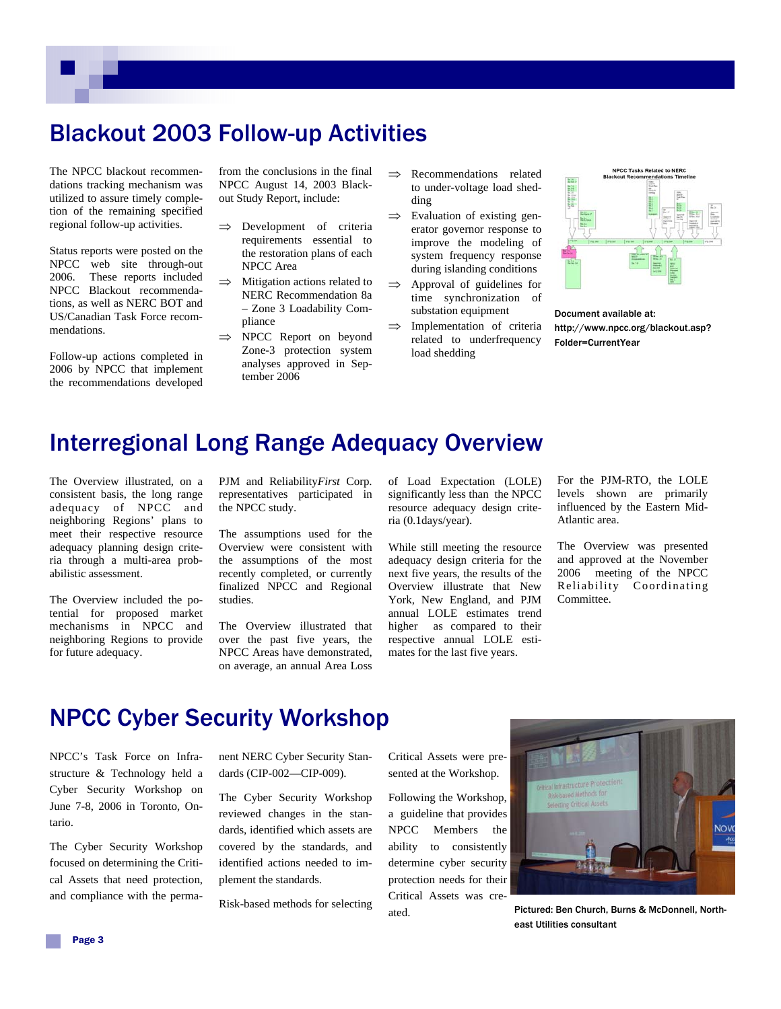## Blackout 2003 Follow-up Activities

The NPCC blackout recommendations tracking mechanism was utilized to assure timely completion of the remaining specified regional follow-up activities.

Status reports were posted on the NPCC web site through-out 2006. These reports included NPCC Blackout recommendations, as well as NERC BOT and US/Canadian Task Force recommendations.

Follow-up actions completed in 2006 by NPCC that implement the recommendations developed

from the conclusions in the final NPCC August 14, 2003 Blackout Study Report, include:

- ⇒ Development of criteria requirements essential to the restoration plans of each NPCC Area
- $\implies$  Mitigation actions related to NERC Recommendation 8a – Zone 3 Loadability Compliance
- ⇒ NPCC Report on beyond Zone-3 protection system analyses approved in September 2006
- ⇒ Recommendations related to under-voltage load shedding
- $\Rightarrow$  Evaluation of existing generator governor response to improve the modeling of system frequency response during islanding conditions
- ⇒ Approval of guidelines for time synchronization of substation equipment
- $\implies$  Implementation of criteria related to underfrequency load shedding



Document available at: http://www.npcc.org/blackout.asp? Folder=CurrentYear

#### Interregional Long Range Adequacy Overview

The Overview illustrated, on a consistent basis, the long range adequacy of NPCC and neighboring Regions' plans to meet their respective resource adequacy planning design criteria through a multi-area probabilistic assessment.

The Overview included the potential for proposed market mechanisms in NPCC and neighboring Regions to provide for future adequacy.

PJM and Reliability*First* Corp. representatives participated in the NPCC study.

The assumptions used for the Overview were consistent with the assumptions of the most recently completed, or currently finalized NPCC and Regional studies.

The Overview illustrated that over the past five years, the NPCC Areas have demonstrated, on average, an annual Area Loss

of Load Expectation (LOLE) significantly less than the NPCC resource adequacy design criteria (0.1days/year).

While still meeting the resource adequacy design criteria for the next five years, the results of the Overview illustrate that New York, New England, and PJM annual LOLE estimates trend higher as compared to their respective annual LOLE estimates for the last five years.

For the PJM-RTO, the LOLE levels shown are primarily influenced by the Eastern Mid-Atlantic area.

The Overview was presented and approved at the November 2006 meeting of the NPCC Reliability Coordinating Committee.

## NPCC Cyber Security Workshop

NPCC's Task Force on Infrastructure & Technology held a Cyber Security Workshop on June 7-8, 2006 in Toronto, Ontario.

The Cyber Security Workshop focused on determining the Critical Assets that need protection, and compliance with the permanent NERC Cyber Security Standards (CIP-002—CIP-009).

The Cyber Security Workshop reviewed changes in the standards, identified which assets are covered by the standards, and identified actions needed to implement the standards.

Risk-based methods for selecting

Critical Assets were presented at the Workshop.

Following the Workshop, a guideline that provides NPCC Members the ability to consistently determine cyber security protection needs for their Critical Assets was created.



Pictured: Ben Church, Burns & McDonnell, Northeast Utilities consultant